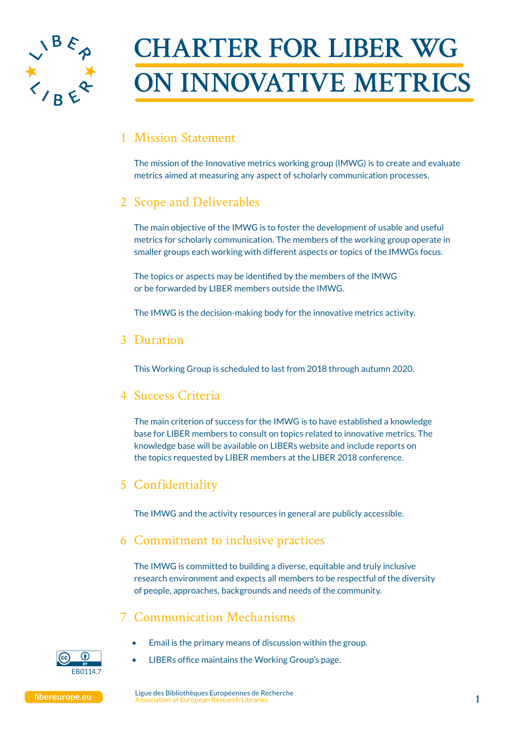

# **CHARTER FOR LIBER WG ON INNOVATIVE METRICS**

## 1 Mission Statement

The mission of the Innovative metrics working group (IMWG) is to create and evaluate metrics aimed at measuring any aspect of scholarly communication processes.

## 2 Scope and Deliverables

The main objective of the IMWG is to foster the development of usable and useful metrics for scholarly communication. The members of the working group operate in smaller groups each working with different aspects or topics of the IMWGs focus.

The topics or aspects may be identified by the members of the IMWG or be forwarded by LIBER members outside the IMWG.

The IMWG is the decision-making body for the innovative metrics activity.

#### 3 Duration

This Working Group is scheduled to last from 2018 through autumn 2020.

#### 4 Success Criteria

The main criterion of success for the IMWG is to have established a knowledge base for LIBER members to consult on topics related to innovative metrics. The knowledge base will be available on LIBERs website and include reports on the topics requested by LIBER members at the LIBER 2018 conference.

## 5 Confidentiality

The IMWG and the activity resources in general are publicly accessible.

#### 6 Commitment to inclusive practices

The IMWG is committed to building a diverse, equitable and truly inclusive research environment and expects all members to be respectful of the diversity of people, approaches, backgrounds and needs of the community.

#### 7 Communication Mechanisms

- $FRO114$
- Email is the primary means of discussion within the group.
- LIBERs office maintains the Working Group's page.

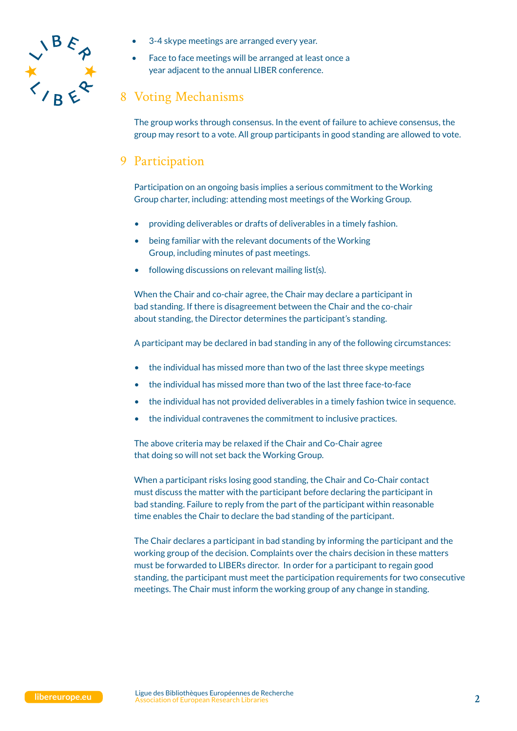

- 3-4 skype meetings are arranged every year.
- Face to face meetings will be arranged at least once a year adjacent to the annual LIBER conference.

## 8 Voting Mechanisms

The group works through consensus. In the event of failure to achieve consensus, the group may resort to a vote. All group participants in good standing are allowed to vote.

## 9 Participation

Participation on an ongoing basis implies a serious commitment to the Working Group charter, including: attending most meetings of the Working Group.

- providing deliverables or drafts of deliverables in a timely fashion.
- being familiar with the relevant documents of the Working Group, including minutes of past meetings.
- following discussions on relevant mailing list(s).

When the Chair and co-chair agree, the Chair may declare a participant in bad standing. If there is disagreement between the Chair and the co-chair about standing, the Director determines the participant's standing.

A participant may be declared in bad standing in any of the following circumstances:

- the individual has missed more than two of the last three skype meetings
- the individual has missed more than two of the last three face-to-face
- the individual has not provided deliverables in a timely fashion twice in sequence.
- the individual contravenes the commitment to inclusive practices.

The above criteria may be relaxed if the Chair and Co-Chair agree that doing so will not set back the Working Group.

When a participant risks losing good standing, the Chair and Co-Chair contact must discuss the matter with the participant before declaring the participant in bad standing. Failure to reply from the part of the participant within reasonable time enables the Chair to declare the bad standing of the participant.

The Chair declares a participant in bad standing by informing the participant and the working group of the decision. Complaints over the chairs decision in these matters must be forwarded to LIBERs director. In order for a participant to regain good standing, the participant must meet the participation requirements for two consecutive meetings. The Chair must inform the working group of any change in standing.